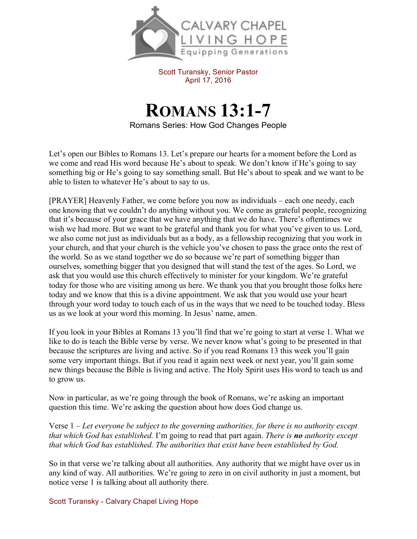

Scott Turansky, Senior Pastor April 17, 2016

## **ROMANS 13:1-7**

Romans Series: How God Changes People

Let's open our Bibles to Romans 13. Let's prepare our hearts for a moment before the Lord as we come and read His word because He's about to speak. We don't know if He's going to say something big or He's going to say something small. But He's about to speak and we want to be able to listen to whatever He's about to say to us.

[PRAYER] Heavenly Father, we come before you now as individuals – each one needy, each one knowing that we couldn't do anything without you. We come as grateful people, recognizing that it's because of your grace that we have anything that we do have. There's oftentimes we wish we had more. But we want to be grateful and thank you for what you've given to us. Lord, we also come not just as individuals but as a body, as a fellowship recognizing that you work in your church, and that your church is the vehicle you've chosen to pass the grace onto the rest of the world. So as we stand together we do so because we're part of something bigger than ourselves, something bigger that you designed that will stand the test of the ages. So Lord, we ask that you would use this church effectively to minister for your kingdom. We're grateful today for those who are visiting among us here. We thank you that you brought those folks here today and we know that this is a divine appointment. We ask that you would use your heart through your word today to touch each of us in the ways that we need to be touched today. Bless us as we look at your word this morning. In Jesus' name, amen.

If you look in your Bibles at Romans 13 you'll find that we're going to start at verse 1. What we like to do is teach the Bible verse by verse. We never know what's going to be presented in that because the scriptures are living and active. So if you read Romans 13 this week you'll gain some very important things. But if you read it again next week or next year, you'll gain some new things because the Bible is living and active. The Holy Spirit uses His word to teach us and to grow us.

Now in particular, as we're going through the book of Romans, we're asking an important question this time. We're asking the question about how does God change us.

Verse 1 – *Let everyone be subject to the governing authorities, for there is no authority except that which God has established.* I'm going to read that part again. *There is no authority except that which God has established. The authorities that exist have been established by God.* 

So in that verse we're talking about all authorities. Any authority that we might have over us in any kind of way. All authorities. We're going to zero in on civil authority in just a moment, but notice verse 1 is talking about all authority there.

Scott Turansky - Calvary Chapel Living Hope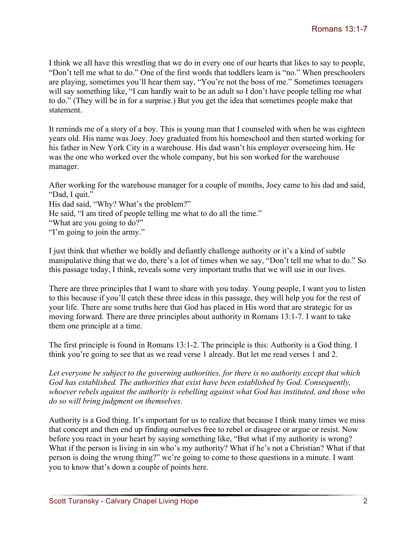I think we all have this wrestling that we do in every one of our hearts that likes to say to people, "Don't tell me what to do." One of the first words that toddlers learn is "no." When preschoolers are playing, sometimes you'll hear them say, "You're not the boss of me." Sometimes teenagers will say something like, "I can hardly wait to be an adult so I don't have people telling me what to do." (They will be in for a surprise.) But you get the idea that sometimes people make that statement.

It reminds me of a story of a boy. This is young man that I counseled with when he was eighteen years old. His name was Joey. Joey graduated from his homeschool and then started working for his father in New York City in a warehouse. His dad wasn't his employer overseeing him. He was the one who worked over the whole company, but his son worked for the warehouse manager.

After working for the warehouse manager for a couple of months, Joey came to his dad and said, "Dad, I quit."

His dad said, "Why? What's the problem?"

He said, "I am tired of people telling me what to do all the time."

"What are you going to do?"

"I'm going to join the army."

I just think that whether we boldly and defiantly challenge authority or it's a kind of subtle manipulative thing that we do, there's a lot of times when we say, "Don't tell me what to do." So this passage today, I think, reveals some very important truths that we will use in our lives.

There are three principles that I want to share with you today. Young people, I want you to listen to this because if you'll catch these three ideas in this passage, they will help you for the rest of your life. There are some truths here that God has placed in His word that are strategic for us moving forward. There are three principles about authority in Romans 13:1-7. I want to take them one principle at a time.

The first principle is found in Romans 13:1-2. The principle is this: Authority is a God thing. I think you're going to see that as we read verse 1 already. But let me read verses 1 and 2.

*Let everyone be subject to the governing authorities, for there is no authority except that which God has established. The authorities that exist have been established by God. Consequently, whoever rebels against the authority is rebelling against what God has instituted, and those who do so will bring judgment on themselves.* 

Authority is a God thing. It's important for us to realize that because I think many times we miss that concept and then end up finding ourselves free to rebel or disagree or argue or resist. Now before you react in your heart by saying something like, "But what if my authority is wrong? What if the person is living in sin who's my authority? What if he's not a Christian? What if that person is doing the wrong thing?" we're going to come to those questions in a minute. I want you to know that's down a couple of points here.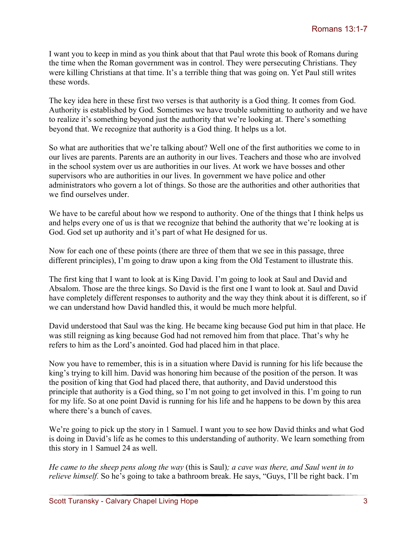I want you to keep in mind as you think about that that Paul wrote this book of Romans during the time when the Roman government was in control. They were persecuting Christians. They were killing Christians at that time. It's a terrible thing that was going on. Yet Paul still writes these words.

The key idea here in these first two verses is that authority is a God thing. It comes from God. Authority is established by God. Sometimes we have trouble submitting to authority and we have to realize it's something beyond just the authority that we're looking at. There's something beyond that. We recognize that authority is a God thing. It helps us a lot.

So what are authorities that we're talking about? Well one of the first authorities we come to in our lives are parents. Parents are an authority in our lives. Teachers and those who are involved in the school system over us are authorities in our lives. At work we have bosses and other supervisors who are authorities in our lives. In government we have police and other administrators who govern a lot of things. So those are the authorities and other authorities that we find ourselves under

We have to be careful about how we respond to authority. One of the things that I think helps us and helps every one of us is that we recognize that behind the authority that we're looking at is God. God set up authority and it's part of what He designed for us.

Now for each one of these points (there are three of them that we see in this passage, three different principles), I'm going to draw upon a king from the Old Testament to illustrate this.

The first king that I want to look at is King David. I'm going to look at Saul and David and Absalom. Those are the three kings. So David is the first one I want to look at. Saul and David have completely different responses to authority and the way they think about it is different, so if we can understand how David handled this, it would be much more helpful.

David understood that Saul was the king. He became king because God put him in that place. He was still reigning as king because God had not removed him from that place. That's why he refers to him as the Lord's anointed. God had placed him in that place.

Now you have to remember, this is in a situation where David is running for his life because the king's trying to kill him. David was honoring him because of the position of the person. It was the position of king that God had placed there, that authority, and David understood this principle that authority is a God thing, so I'm not going to get involved in this. I'm going to run for my life. So at one point David is running for his life and he happens to be down by this area where there's a bunch of caves.

We're going to pick up the story in 1 Samuel. I want you to see how David thinks and what God is doing in David's life as he comes to this understanding of authority. We learn something from this story in 1 Samuel 24 as well.

*He came to the sheep pens along the way* (this is Saul)*; a cave was there, and Saul went in to relieve himself.* So he's going to take a bathroom break. He says, "Guys, I'll be right back. I'm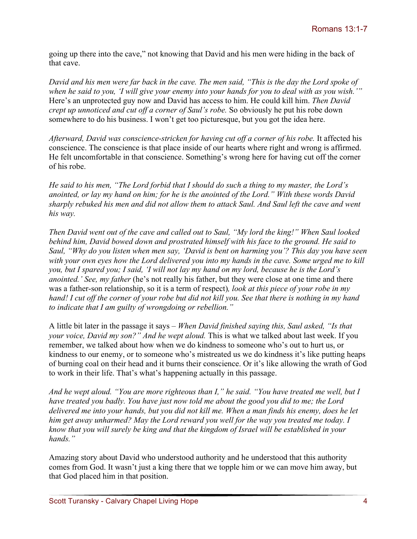going up there into the cave," not knowing that David and his men were hiding in the back of that cave.

*David and his men were far back in the cave. The men said, "This is the day the Lord spoke of when he said to you, 'I will give your enemy into your hands for you to deal with as you wish.'"* Here's an unprotected guy now and David has access to him. He could kill him. *Then David crept up unnoticed and cut off a corner of Saul's robe.* So obviously he put his robe down somewhere to do his business. I won't get too picturesque, but you got the idea here.

Afterward, David was conscience-stricken for having cut off a corner of his robe. It affected his conscience. The conscience is that place inside of our hearts where right and wrong is affirmed. He felt uncomfortable in that conscience. Something's wrong here for having cut off the corner of his robe.

*He said to his men, "The Lord forbid that I should do such a thing to my master, the Lord's anointed, or lay my hand on him; for he is the anointed of the Lord." With these words David sharply rebuked his men and did not allow them to attack Saul. And Saul left the cave and went his way.*

*Then David went out of the cave and called out to Saul, "My lord the king!" When Saul looked behind him, David bowed down and prostrated himself with his face to the ground. He said to Saul, "Why do you listen when men say, 'David is bent on harming you'? This day you have seen with your own eyes how the Lord delivered you into my hands in the cave. Some urged me to kill you, but I spared you; I said, 'I will not lay my hand on my lord, because he is the Lord's anointed.' See, my father* (he's not really his father, but they were close at one time and there was a father-son relationship, so it is a term of respect)*, look at this piece of your robe in my hand! I cut off the corner of your robe but did not kill you. See that there is nothing in my hand to indicate that I am guilty of wrongdoing or rebellion."* 

A little bit later in the passage it says – *When David finished saying this, Saul asked, "Is that your voice, David my son?" And he wept aloud.* This is what we talked about last week. If you remember, we talked about how when we do kindness to someone who's out to hurt us, or kindness to our enemy, or to someone who's mistreated us we do kindness it's like putting heaps of burning coal on their head and it burns their conscience. Or it's like allowing the wrath of God to work in their life. That's what's happening actually in this passage.

*And he wept aloud. "You are more righteous than I," he said. "You have treated me well, but I have treated you badly. You have just now told me about the good you did to me; the Lord delivered me into your hands, but you did not kill me. When a man finds his enemy, does he let him get away unharmed? May the Lord reward you well for the way you treated me today. I know that you will surely be king and that the kingdom of Israel will be established in your hands."* 

Amazing story about David who understood authority and he understood that this authority comes from God. It wasn't just a king there that we topple him or we can move him away, but that God placed him in that position.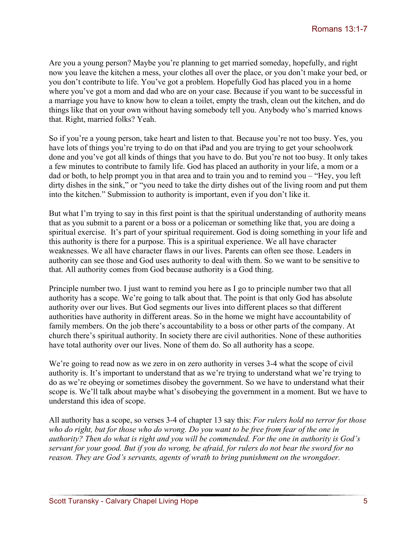Are you a young person? Maybe you're planning to get married someday, hopefully, and right now you leave the kitchen a mess, your clothes all over the place, or you don't make your bed, or you don't contribute to life. You've got a problem. Hopefully God has placed you in a home where you've got a mom and dad who are on your case. Because if you want to be successful in a marriage you have to know how to clean a toilet, empty the trash, clean out the kitchen, and do things like that on your own without having somebody tell you. Anybody who's married knows that. Right, married folks? Yeah.

So if you're a young person, take heart and listen to that. Because you're not too busy. Yes, you have lots of things you're trying to do on that iPad and you are trying to get your schoolwork done and you've got all kinds of things that you have to do. But you're not too busy. It only takes a few minutes to contribute to family life. God has placed an authority in your life, a mom or a dad or both, to help prompt you in that area and to train you and to remind you – "Hey, you left dirty dishes in the sink," or "you need to take the dirty dishes out of the living room and put them into the kitchen." Submission to authority is important, even if you don't like it.

But what I'm trying to say in this first point is that the spiritual understanding of authority means that as you submit to a parent or a boss or a policeman or something like that, you are doing a spiritual exercise. It's part of your spiritual requirement. God is doing something in your life and this authority is there for a purpose. This is a spiritual experience. We all have character weaknesses. We all have character flaws in our lives. Parents can often see those. Leaders in authority can see those and God uses authority to deal with them. So we want to be sensitive to that. All authority comes from God because authority is a God thing.

Principle number two. I just want to remind you here as I go to principle number two that all authority has a scope. We're going to talk about that. The point is that only God has absolute authority over our lives. But God segments our lives into different places so that different authorities have authority in different areas. So in the home we might have accountability of family members. On the job there's accountability to a boss or other parts of the company. At church there's spiritual authority. In society there are civil authorities. None of these authorities have total authority over our lives. None of them do. So all authority has a scope.

We're going to read now as we zero in on zero authority in verses 3-4 what the scope of civil authority is. It's important to understand that as we're trying to understand what we're trying to do as we're obeying or sometimes disobey the government. So we have to understand what their scope is. We'll talk about maybe what's disobeying the government in a moment. But we have to understand this idea of scope.

All authority has a scope, so verses 3-4 of chapter 13 say this: *For rulers hold no terror for those who do right, but for those who do wrong. Do you want to be free from fear of the one in authority? Then do what is right and you will be commended. For the one in authority is God's servant for your good. But if you do wrong, be afraid, for rulers do not bear the sword for no reason. They are God's servants, agents of wrath to bring punishment on the wrongdoer.*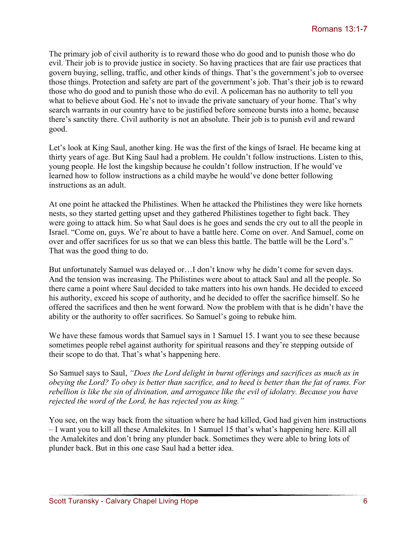The primary job of civil authority is to reward those who do good and to punish those who do evil. Their job is to provide justice in society. So having practices that are fair use practices that govern buying, selling, traffic, and other kinds of things. That's the government's job to oversee those things. Protection and safety are part of the government's job. That's their job is to reward those who do good and to punish those who do evil. A policeman has no authority to tell you what to believe about God. He's not to invade the private sanctuary of your home. That's why search warrants in our country have to be justified before someone bursts into a home, because there's sanctity there. Civil authority is not an absolute. Their job is to punish evil and reward good.

Let's look at King Saul, another king. He was the first of the kings of Israel. He became king at thirty years of age. But King Saul had a problem. He couldn't follow instructions. Listen to this, young people. He lost the kingship because he couldn't follow instruction. If he would've learned how to follow instructions as a child maybe he would've done better following instructions as an adult.

At one point he attacked the Philistines. When he attacked the Philistines they were like hornets nests, so they started getting upset and they gathered Philistines together to fight back. They were going to attack him. So what Saul does is he goes and sends the cry out to all the people in Israel. "Come on, guys. We're about to have a battle here. Come on over. And Samuel, come on over and offer sacrifices for us so that we can bless this battle. The battle will be the Lord's." That was the good thing to do.

But unfortunately Samuel was delayed or…I don't know why he didn't come for seven days. And the tension was increasing. The Philistines were about to attack Saul and all the people. So there came a point where Saul decided to take matters into his own hands. He decided to exceed his authority, exceed his scope of authority, and he decided to offer the sacrifice himself. So he offered the sacrifices and then he went forward. Now the problem with that is he didn't have the ability or the authority to offer sacrifices. So Samuel's going to rebuke him.

We have these famous words that Samuel says in 1 Samuel 15. I want you to see these because sometimes people rebel against authority for spiritual reasons and they're stepping outside of their scope to do that. That's what's happening here.

So Samuel says to Saul, *"Does the Lord delight in burnt offerings and sacrifices as much as in obeying the Lord? To obey is better than sacrifice, and to heed is better than the fat of rams. For rebellion is like the sin of divination, and arrogance like the evil of idolatry. Because you have rejected the word of the Lord, he has rejected you as king."* 

You see, on the way back from the situation where he had killed, God had given him instructions – I want you to kill all these Amalekites. In 1 Samuel 15 that's what's happening here. Kill all the Amalekites and don't bring any plunder back. Sometimes they were able to bring lots of plunder back. But in this one case Saul had a better idea.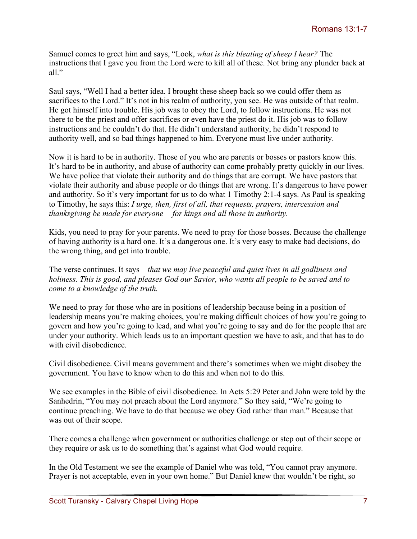Samuel comes to greet him and says, "Look, *what is this bleating of sheep I hear?* The instructions that I gave you from the Lord were to kill all of these. Not bring any plunder back at all."

Saul says, "Well I had a better idea. I brought these sheep back so we could offer them as sacrifices to the Lord." It's not in his realm of authority, you see. He was outside of that realm. He got himself into trouble. His job was to obey the Lord, to follow instructions. He was not there to be the priest and offer sacrifices or even have the priest do it. His job was to follow instructions and he couldn't do that. He didn't understand authority, he didn't respond to authority well, and so bad things happened to him. Everyone must live under authority.

Now it is hard to be in authority. Those of you who are parents or bosses or pastors know this. It's hard to be in authority, and abuse of authority can come probably pretty quickly in our lives. We have police that violate their authority and do things that are corrupt. We have pastors that violate their authority and abuse people or do things that are wrong. It's dangerous to have power and authority. So it's very important for us to do what 1 Timothy 2:1-4 says. As Paul is speaking to Timothy, he says this: *I urge, then, first of all, that requests, prayers, intercession and thanksgiving be made for everyone— for kings and all those in authority.* 

Kids, you need to pray for your parents. We need to pray for those bosses. Because the challenge of having authority is a hard one. It's a dangerous one. It's very easy to make bad decisions, do the wrong thing, and get into trouble.

The verse continues. It says – *that we may live peaceful and quiet lives in all godliness and holiness. This is good, and pleases God our Savior, who wants all people to be saved and to come to a knowledge of the truth.*

We need to pray for those who are in positions of leadership because being in a position of leadership means you're making choices, you're making difficult choices of how you're going to govern and how you're going to lead, and what you're going to say and do for the people that are under your authority. Which leads us to an important question we have to ask, and that has to do with civil disobedience.

Civil disobedience. Civil means government and there's sometimes when we might disobey the government. You have to know when to do this and when not to do this.

We see examples in the Bible of civil disobedience. In Acts 5:29 Peter and John were told by the Sanhedrin, "You may not preach about the Lord anymore." So they said, "We're going to continue preaching. We have to do that because we obey God rather than man." Because that was out of their scope.

There comes a challenge when government or authorities challenge or step out of their scope or they require or ask us to do something that's against what God would require.

In the Old Testament we see the example of Daniel who was told, "You cannot pray anymore. Prayer is not acceptable, even in your own home." But Daniel knew that wouldn't be right, so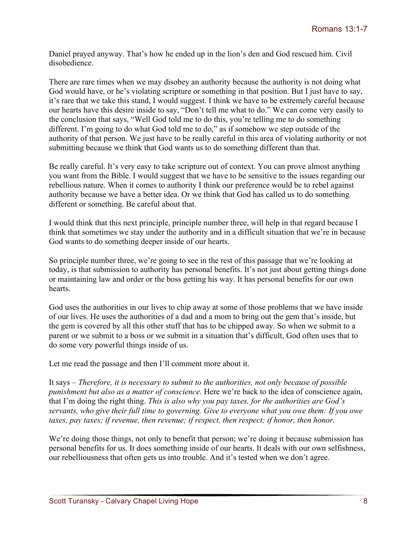Daniel prayed anyway. That's how he ended up in the lion's den and God rescued him. Civil disobedience.

There are rare times when we may disobey an authority because the authority is not doing what God would have, or he's violating scripture or something in that position. But I just have to say, it's rare that we take this stand, I would suggest. I think we have to be extremely careful because our hearts have this desire inside to say, "Don't tell me what to do." We can come very easily to the conclusion that says, "Well God told me to do this, you're telling me to do something different. I'm going to do what God told me to do," as if somehow we step outside of the authority of that person. We just have to be really careful in this area of violating authority or not submitting because we think that God wants us to do something different than that.

Be really careful. It's very easy to take scripture out of context. You can prove almost anything you want from the Bible. I would suggest that we have to be sensitive to the issues regarding our rebellious nature. When it comes to authority I think our preference would be to rebel against authority because we have a better idea. Or we think that God has called us to do something different or something. Be careful about that.

I would think that this next principle, principle number three, will help in that regard because I think that sometimes we stay under the authority and in a difficult situation that we're in because God wants to do something deeper inside of our hearts.

So principle number three, we're going to see in the rest of this passage that we're looking at today, is that submission to authority has personal benefits. It's not just about getting things done or maintaining law and order or the boss getting his way. It has personal benefits for our own hearts.

God uses the authorities in our lives to chip away at some of those problems that we have inside of our lives. He uses the authorities of a dad and a mom to bring out the gem that's inside, but the gem is covered by all this other stuff that has to be chipped away. So when we submit to a parent or we submit to a boss or we submit in a situation that's difficult, God often uses that to do some very powerful things inside of us.

Let me read the passage and then I'll comment more about it.

It says – *Therefore, it is necessary to submit to the authorities, not only because of possible punishment but also as a matter of conscience.* Here we're back to the idea of conscience again, that I'm doing the right thing. *This is also why you pay taxes, for the authorities are God's servants, who give their full time to governing. Give to everyone what you owe them: If you owe taxes, pay taxes; if revenue, then revenue; if respect, then respect; if honor, then honor.*

We're doing those things, not only to benefit that person; we're doing it because submission has personal benefits for us. It does something inside of our hearts. It deals with our own selfishness, our rebelliousness that often gets us into trouble. And it's tested when we don't agree.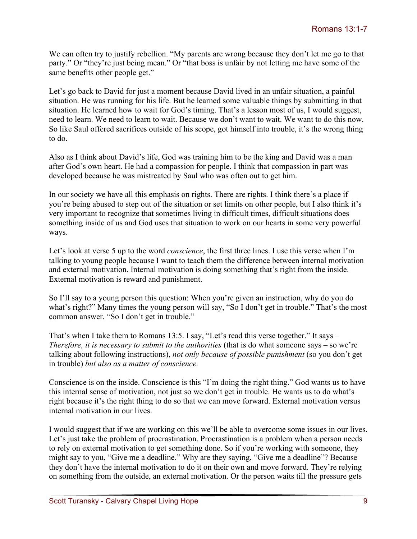We can often try to justify rebellion. "My parents are wrong because they don't let me go to that party." Or "they're just being mean." Or "that boss is unfair by not letting me have some of the same benefits other people get."

Let's go back to David for just a moment because David lived in an unfair situation, a painful situation. He was running for his life. But he learned some valuable things by submitting in that situation. He learned how to wait for God's timing. That's a lesson most of us, I would suggest, need to learn. We need to learn to wait. Because we don't want to wait. We want to do this now. So like Saul offered sacrifices outside of his scope, got himself into trouble, it's the wrong thing to do.

Also as I think about David's life, God was training him to be the king and David was a man after God's own heart. He had a compassion for people. I think that compassion in part was developed because he was mistreated by Saul who was often out to get him.

In our society we have all this emphasis on rights. There are rights. I think there's a place if you're being abused to step out of the situation or set limits on other people, but I also think it's very important to recognize that sometimes living in difficult times, difficult situations does something inside of us and God uses that situation to work on our hearts in some very powerful ways.

Let's look at verse 5 up to the word *conscience*, the first three lines. I use this verse when I'm talking to young people because I want to teach them the difference between internal motivation and external motivation. Internal motivation is doing something that's right from the inside. External motivation is reward and punishment.

So I'll say to a young person this question: When you're given an instruction, why do you do what's right?" Many times the young person will say, "So I don't get in trouble." That's the most common answer. "So I don't get in trouble."

That's when I take them to Romans 13:5. I say, "Let's read this verse together." It says – *Therefore, it is necessary to submit to the authorities* (that is do what someone says – so we're talking about following instructions), *not only because of possible punishment* (so you don't get in trouble) *but also as a matter of conscience.* 

Conscience is on the inside. Conscience is this "I'm doing the right thing." God wants us to have this internal sense of motivation, not just so we don't get in trouble. He wants us to do what's right because it's the right thing to do so that we can move forward. External motivation versus internal motivation in our lives.

I would suggest that if we are working on this we'll be able to overcome some issues in our lives. Let's just take the problem of procrastination. Procrastination is a problem when a person needs to rely on external motivation to get something done. So if you're working with someone, they might say to you, "Give me a deadline." Why are they saying, "Give me a deadline"? Because they don't have the internal motivation to do it on their own and move forward. They're relying on something from the outside, an external motivation. Or the person waits till the pressure gets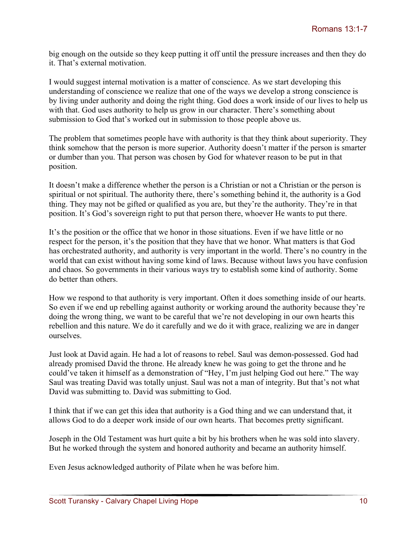big enough on the outside so they keep putting it off until the pressure increases and then they do it. That's external motivation.

I would suggest internal motivation is a matter of conscience. As we start developing this understanding of conscience we realize that one of the ways we develop a strong conscience is by living under authority and doing the right thing. God does a work inside of our lives to help us with that. God uses authority to help us grow in our character. There's something about submission to God that's worked out in submission to those people above us.

The problem that sometimes people have with authority is that they think about superiority. They think somehow that the person is more superior. Authority doesn't matter if the person is smarter or dumber than you. That person was chosen by God for whatever reason to be put in that position.

It doesn't make a difference whether the person is a Christian or not a Christian or the person is spiritual or not spiritual. The authority there, there's something behind it, the authority is a God thing. They may not be gifted or qualified as you are, but they're the authority. They're in that position. It's God's sovereign right to put that person there, whoever He wants to put there.

It's the position or the office that we honor in those situations. Even if we have little or no respect for the person, it's the position that they have that we honor. What matters is that God has orchestrated authority, and authority is very important in the world. There's no country in the world that can exist without having some kind of laws. Because without laws you have confusion and chaos. So governments in their various ways try to establish some kind of authority. Some do better than others.

How we respond to that authority is very important. Often it does something inside of our hearts. So even if we end up rebelling against authority or working around the authority because they're doing the wrong thing, we want to be careful that we're not developing in our own hearts this rebellion and this nature. We do it carefully and we do it with grace, realizing we are in danger ourselves.

Just look at David again. He had a lot of reasons to rebel. Saul was demon-possessed. God had already promised David the throne. He already knew he was going to get the throne and he could've taken it himself as a demonstration of "Hey, I'm just helping God out here." The way Saul was treating David was totally unjust. Saul was not a man of integrity. But that's not what David was submitting to. David was submitting to God.

I think that if we can get this idea that authority is a God thing and we can understand that, it allows God to do a deeper work inside of our own hearts. That becomes pretty significant.

Joseph in the Old Testament was hurt quite a bit by his brothers when he was sold into slavery. But he worked through the system and honored authority and became an authority himself.

Even Jesus acknowledged authority of Pilate when he was before him.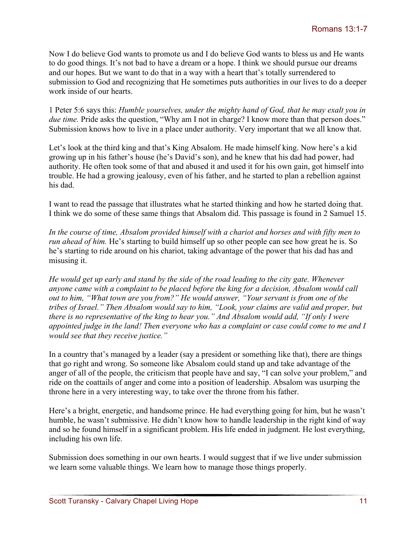Now I do believe God wants to promote us and I do believe God wants to bless us and He wants to do good things. It's not bad to have a dream or a hope. I think we should pursue our dreams and our hopes. But we want to do that in a way with a heart that's totally surrendered to submission to God and recognizing that He sometimes puts authorities in our lives to do a deeper work inside of our hearts.

1 Peter 5:6 says this: *Humble yourselves, under the mighty hand of God, that he may exalt you in due time.* Pride asks the question, "Why am I not in charge? I know more than that person does." Submission knows how to live in a place under authority. Very important that we all know that.

Let's look at the third king and that's King Absalom. He made himself king. Now here's a kid growing up in his father's house (he's David's son), and he knew that his dad had power, had authority. He often took some of that and abused it and used it for his own gain, got himself into trouble. He had a growing jealousy, even of his father, and he started to plan a rebellion against his dad.

I want to read the passage that illustrates what he started thinking and how he started doing that. I think we do some of these same things that Absalom did. This passage is found in 2 Samuel 15.

*In the course of time, Absalom provided himself with a chariot and horses and with fifty men to run ahead of him.* He's starting to build himself up so other people can see how great he is. So he's starting to ride around on his chariot, taking advantage of the power that his dad has and misusing it.

*He would get up early and stand by the side of the road leading to the city gate. Whenever anyone came with a complaint to be placed before the king for a decision, Absalom would call out to him, "What town are you from?" He would answer, "Your servant is from one of the tribes of Israel." Then Absalom would say to him, "Look, your claims are valid and proper, but there is no representative of the king to hear you." And Absalom would add, "If only I were appointed judge in the land! Then everyone who has a complaint or case could come to me and I would see that they receive justice."* 

In a country that's managed by a leader (say a president or something like that), there are things that go right and wrong. So someone like Absalom could stand up and take advantage of the anger of all of the people, the criticism that people have and say, "I can solve your problem," and ride on the coattails of anger and come into a position of leadership. Absalom was usurping the throne here in a very interesting way, to take over the throne from his father.

Here's a bright, energetic, and handsome prince. He had everything going for him, but he wasn't humble, he wasn't submissive. He didn't know how to handle leadership in the right kind of way and so he found himself in a significant problem. His life ended in judgment. He lost everything, including his own life.

Submission does something in our own hearts. I would suggest that if we live under submission we learn some valuable things. We learn how to manage those things properly.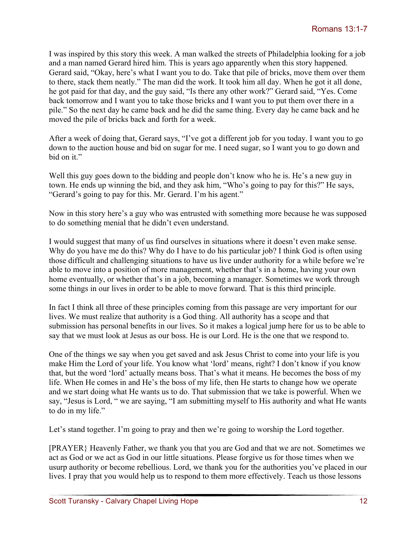I was inspired by this story this week. A man walked the streets of Philadelphia looking for a job and a man named Gerard hired him. This is years ago apparently when this story happened. Gerard said, "Okay, here's what I want you to do. Take that pile of bricks, move them over them to there, stack them neatly." The man did the work. It took him all day. When he got it all done, he got paid for that day, and the guy said, "Is there any other work?" Gerard said, "Yes. Come back tomorrow and I want you to take those bricks and I want you to put them over there in a pile." So the next day he came back and he did the same thing. Every day he came back and he moved the pile of bricks back and forth for a week.

After a week of doing that, Gerard says, "I've got a different job for you today. I want you to go down to the auction house and bid on sugar for me. I need sugar, so I want you to go down and bid on it."

Well this guy goes down to the bidding and people don't know who he is. He's a new guy in town. He ends up winning the bid, and they ask him, "Who's going to pay for this?" He says, "Gerard's going to pay for this. Mr. Gerard. I'm his agent."

Now in this story here's a guy who was entrusted with something more because he was supposed to do something menial that he didn't even understand.

I would suggest that many of us find ourselves in situations where it doesn't even make sense. Why do you have me do this? Why do I have to do his particular job? I think God is often using those difficult and challenging situations to have us live under authority for a while before we're able to move into a position of more management, whether that's in a home, having your own home eventually, or whether that's in a job, becoming a manager. Sometimes we work through some things in our lives in order to be able to move forward. That is this third principle.

In fact I think all three of these principles coming from this passage are very important for our lives. We must realize that authority is a God thing. All authority has a scope and that submission has personal benefits in our lives. So it makes a logical jump here for us to be able to say that we must look at Jesus as our boss. He is our Lord. He is the one that we respond to.

One of the things we say when you get saved and ask Jesus Christ to come into your life is you make Him the Lord of your life. You know what 'lord' means, right? I don't know if you know that, but the word 'lord' actually means boss. That's what it means. He becomes the boss of my life. When He comes in and He's the boss of my life, then He starts to change how we operate and we start doing what He wants us to do. That submission that we take is powerful. When we say, "Jesus is Lord, " we are saying, "I am submitting myself to His authority and what He wants to do in my life."

Let's stand together. I'm going to pray and then we're going to worship the Lord together.

[PRAYER} Heavenly Father, we thank you that you are God and that we are not. Sometimes we act as God or we act as God in our little situations. Please forgive us for those times when we usurp authority or become rebellious. Lord, we thank you for the authorities you've placed in our lives. I pray that you would help us to respond to them more effectively. Teach us those lessons